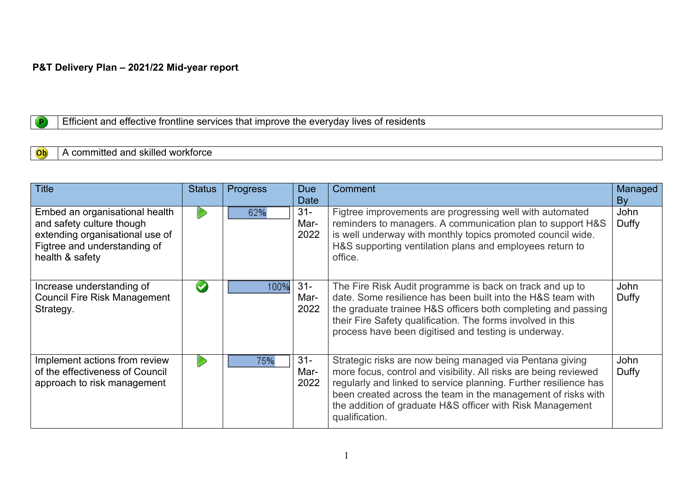## **P&T Delivery Plan – 2021/22 Mid-year report**

## Efficient and effective frontline services that improve the everyday lives of residents

#### A committed and skilled workforce Ob

 $\overline{P}$ 

| <b>Title</b>                                                                                                                                      | <b>Status</b>        | <b>Progress</b> | <b>Due</b><br>Date     | Comment                                                                                                                                                                                                                                                                                                                                         | Managed<br>By        |
|---------------------------------------------------------------------------------------------------------------------------------------------------|----------------------|-----------------|------------------------|-------------------------------------------------------------------------------------------------------------------------------------------------------------------------------------------------------------------------------------------------------------------------------------------------------------------------------------------------|----------------------|
| Embed an organisational health<br>and safety culture though<br>extending organisational use of<br>Figtree and understanding of<br>health & safety |                      | 62%             | $31 -$<br>Mar-<br>2022 | Figtree improvements are progressing well with automated<br>reminders to managers. A communication plan to support H&S<br>is well underway with monthly topics promoted council wide.<br>H&S supporting ventilation plans and employees return to<br>office.                                                                                    | John<br>Duffy        |
| Increase understanding of<br><b>Council Fire Risk Management</b><br>Strategy.                                                                     | $\blacktriangledown$ | 100%            | $31 -$<br>Mar-<br>2022 | The Fire Risk Audit programme is back on track and up to<br>date. Some resilience has been built into the H&S team with<br>the graduate trainee H&S officers both completing and passing<br>their Fire Safety qualification. The forms involved in this<br>process have been digitised and testing is underway.                                 | <b>John</b><br>Duffy |
| Implement actions from review<br>of the effectiveness of Council<br>approach to risk management                                                   |                      | 75%             | $31 -$<br>Mar-<br>2022 | Strategic risks are now being managed via Pentana giving<br>more focus, control and visibility. All risks are being reviewed<br>regularly and linked to service planning. Further resilience has<br>been created across the team in the management of risks with<br>the addition of graduate H&S officer with Risk Management<br>qualification. | John<br>Duffy        |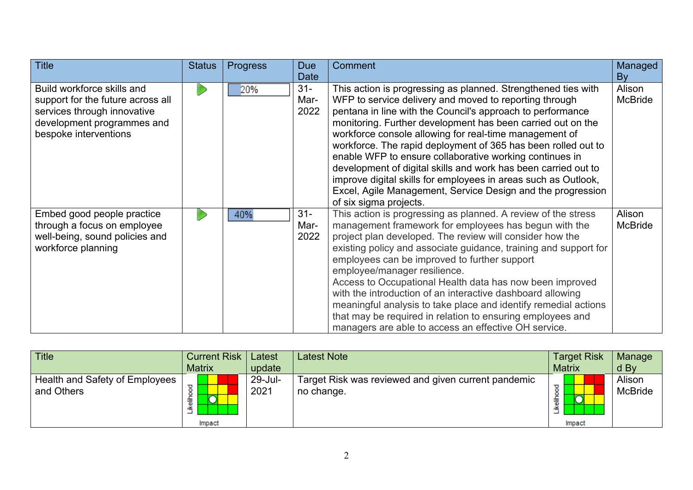| <b>Title</b>                                                                                                                                          | <b>Status</b> | <b>Progress</b> | <b>Due</b>             | <b>Comment</b>                                                                                                                                                                                                                                                                                                                                                                                                                                                                                                                                                                                                                                                          | Managed                  |
|-------------------------------------------------------------------------------------------------------------------------------------------------------|---------------|-----------------|------------------------|-------------------------------------------------------------------------------------------------------------------------------------------------------------------------------------------------------------------------------------------------------------------------------------------------------------------------------------------------------------------------------------------------------------------------------------------------------------------------------------------------------------------------------------------------------------------------------------------------------------------------------------------------------------------------|--------------------------|
|                                                                                                                                                       |               |                 | <b>Date</b>            |                                                                                                                                                                                                                                                                                                                                                                                                                                                                                                                                                                                                                                                                         | By                       |
| Build workforce skills and<br>support for the future across all<br>services through innovative<br>development programmes and<br>bespoke interventions |               | 20%             | $31 -$<br>Mar-<br>2022 | This action is progressing as planned. Strengthened ties with<br>WFP to service delivery and moved to reporting through<br>pentana in line with the Council's approach to performance<br>monitoring. Further development has been carried out on the<br>workforce console allowing for real-time management of<br>workforce. The rapid deployment of 365 has been rolled out to<br>enable WFP to ensure collaborative working continues in<br>development of digital skills and work has been carried out to<br>improve digital skills for employees in areas such as Outlook,<br>Excel, Agile Management, Service Design and the progression<br>of six sigma projects. | Alison<br><b>McBride</b> |
| Embed good people practice<br>through a focus on employee<br>well-being, sound policies and<br>workforce planning                                     |               | 40%             | $31 -$<br>Mar-<br>2022 | This action is progressing as planned. A review of the stress<br>management framework for employees has begun with the<br>project plan developed. The review will consider how the<br>existing policy and associate guidance, training and support for<br>employees can be improved to further support<br>employee/manager resilience.<br>Access to Occupational Health data has now been improved<br>with the introduction of an interactive dashboard allowing<br>meaningful analysis to take place and identify remedial actions<br>that may be required in relation to ensuring employees and<br>managers are able to access an effective OH service.               | Alison<br><b>McBride</b> |

| <b>Title</b>                                 | <b>Current Risk</b><br><b>Matrix</b> | Latest<br>update | Latest Note                                                       | <b>Target Risk</b><br><b>Matrix</b> | Manage<br>d By           |
|----------------------------------------------|--------------------------------------|------------------|-------------------------------------------------------------------|-------------------------------------|--------------------------|
| Health and Safety of Employees<br>and Others | 轰<br>Impact                          | 29-Jul-<br>2021  | Target Risk was reviewed and given current pandemic<br>no change. | ပ<br>Ì<br>Impact                    | Alison<br><b>McBride</b> |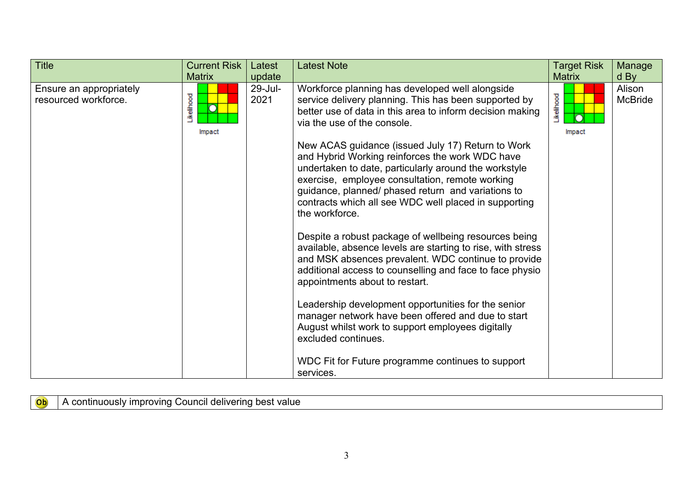| 29-Jul-<br>Workforce planning has developed well alongside<br>Ensure an appropriately<br>Likelihood<br><b>kelihood</b><br>resourced workforce.<br>2021<br>service delivery planning. This has been supported by<br>better use of data in this area to inform decision making<br>via the use of the console.<br>Impact<br>Impact                                                                                                                                                                                                                                                                                                                                                                                                                                                                                                                                                           | <b>Title</b> | <b>Current Risk</b> | Latest | <b>Latest Note</b> | <b>Target Risk</b> | Manage                             |
|-------------------------------------------------------------------------------------------------------------------------------------------------------------------------------------------------------------------------------------------------------------------------------------------------------------------------------------------------------------------------------------------------------------------------------------------------------------------------------------------------------------------------------------------------------------------------------------------------------------------------------------------------------------------------------------------------------------------------------------------------------------------------------------------------------------------------------------------------------------------------------------------|--------------|---------------------|--------|--------------------|--------------------|------------------------------------|
| New ACAS guidance (issued July 17) Return to Work<br>and Hybrid Working reinforces the work WDC have<br>undertaken to date, particularly around the workstyle<br>exercise, employee consultation, remote working<br>guidance, planned/ phased return and variations to<br>contracts which all see WDC well placed in supporting<br>the workforce.<br>Despite a robust package of wellbeing resources being<br>available, absence levels are starting to rise, with stress<br>and MSK absences prevalent. WDC continue to provide<br>additional access to counselling and face to face physio<br>appointments about to restart.<br>Leadership development opportunities for the senior<br>manager network have been offered and due to start<br>August whilst work to support employees digitally<br>excluded continues.<br>WDC Fit for Future programme continues to support<br>services. |              | <b>Matrix</b>       | update |                    | <b>Matrix</b>      | $d$ By<br>Alison<br><b>McBride</b> |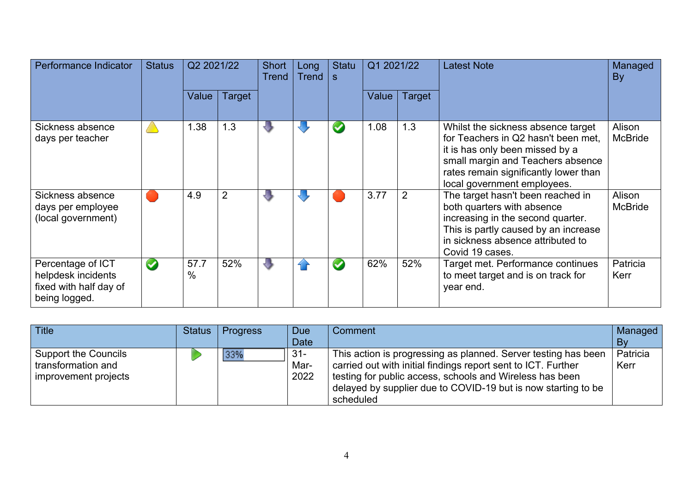| Performance Indicator                                                              | <b>Status</b>         | Q2 2021/22   |                | <b>Short</b><br><b>Trend</b> | Long<br><b>Trend</b> | <b>Statu</b><br>S    | Q1 2021/22 |                | <b>Latest Note</b>                                                                                                                                                                                                        | Managed<br>By            |
|------------------------------------------------------------------------------------|-----------------------|--------------|----------------|------------------------------|----------------------|----------------------|------------|----------------|---------------------------------------------------------------------------------------------------------------------------------------------------------------------------------------------------------------------------|--------------------------|
|                                                                                    |                       | Value        | Target         |                              |                      |                      | Value      | Target         |                                                                                                                                                                                                                           |                          |
| Sickness absence<br>days per teacher                                               |                       | 1.38         | 1.3            | ₩                            |                      |                      | 1.08       | 1.3            | Whilst the sickness absence target<br>for Teachers in Q2 hasn't been met,<br>it is has only been missed by a<br>small margin and Teachers absence<br>rates remain significantly lower than<br>local government employees. | Alison<br><b>McBride</b> |
| Sickness absence<br>days per employee<br>(local government)                        |                       | 4.9          | $\overline{2}$ | ۲J                           |                      |                      | 3.77       | $\overline{2}$ | The target hasn't been reached in<br>both quarters with absence<br>increasing in the second quarter.<br>This is partly caused by an increase<br>in sickness absence attributed to<br>Covid 19 cases.                      | Alison<br><b>McBride</b> |
| Percentage of ICT<br>helpdesk incidents<br>fixed with half day of<br>being logged. | $\blacktriangleright$ | 57.7<br>$\%$ | 52%            | ₩                            | 4 F                  | $\blacktriangledown$ | 62%        | 52%            | Target met. Performance continues<br>to meet target and is on track for<br>year end.                                                                                                                                      | Patricia<br>Kerr         |

| <b>Title</b>                                                       | <b>Status</b> | <b>Progress</b> | <b>Due</b>             | Comment                                                                                                                                                                                                                                                                   | Managed          |
|--------------------------------------------------------------------|---------------|-----------------|------------------------|---------------------------------------------------------------------------------------------------------------------------------------------------------------------------------------------------------------------------------------------------------------------------|------------------|
|                                                                    |               |                 | <b>Date</b>            |                                                                                                                                                                                                                                                                           | Bv               |
| Support the Councils<br>transformation and<br>improvement projects |               | 33%             | $31 -$<br>Mar-<br>2022 | This action is progressing as planned. Server testing has been<br>carried out with initial findings report sent to ICT. Further<br>testing for public access, schools and Wireless has been<br>delayed by supplier due to COVID-19 but is now starting to be<br>scheduled | Patricia<br>Kerr |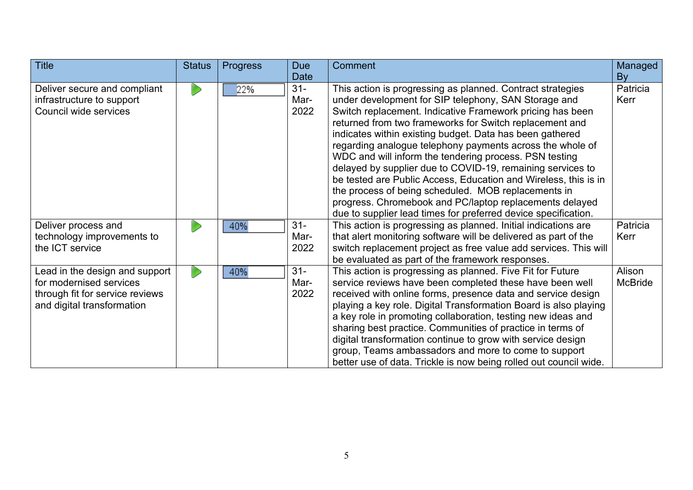| <b>Title</b>                                                                                                               | <b>Status</b> | <b>Progress</b> | <b>Due</b><br><b>Date</b> | Comment                                                                                                                                                                                                                                                                                                                                                                                                                                                                                                                                                                                                                                                                                                                                            | Managed<br>By            |
|----------------------------------------------------------------------------------------------------------------------------|---------------|-----------------|---------------------------|----------------------------------------------------------------------------------------------------------------------------------------------------------------------------------------------------------------------------------------------------------------------------------------------------------------------------------------------------------------------------------------------------------------------------------------------------------------------------------------------------------------------------------------------------------------------------------------------------------------------------------------------------------------------------------------------------------------------------------------------------|--------------------------|
| Deliver secure and compliant<br>infrastructure to support<br>Council wide services                                         |               | 22%             | $31 -$<br>Mar-<br>2022    | This action is progressing as planned. Contract strategies<br>under development for SIP telephony, SAN Storage and<br>Switch replacement. Indicative Framework pricing has been<br>returned from two frameworks for Switch replacement and<br>indicates within existing budget. Data has been gathered<br>regarding analogue telephony payments across the whole of<br>WDC and will inform the tendering process. PSN testing<br>delayed by supplier due to COVID-19, remaining services to<br>be tested are Public Access, Education and Wireless, this is in<br>the process of being scheduled. MOB replacements in<br>progress. Chromebook and PC/laptop replacements delayed<br>due to supplier lead times for preferred device specification. | Patricia<br>Kerr         |
| Deliver process and<br>technology improvements to<br>the ICT service                                                       |               | 40%             | $31 -$<br>Mar-<br>2022    | This action is progressing as planned. Initial indications are<br>that alert monitoring software will be delivered as part of the<br>switch replacement project as free value add services. This will<br>be evaluated as part of the framework responses.                                                                                                                                                                                                                                                                                                                                                                                                                                                                                          | Patricia<br>Kerr         |
| Lead in the design and support<br>for modernised services<br>through fit for service reviews<br>and digital transformation |               | 40%             | $31 -$<br>Mar-<br>2022    | This action is progressing as planned. Five Fit for Future<br>service reviews have been completed these have been well<br>received with online forms, presence data and service design<br>playing a key role. Digital Transformation Board is also playing<br>a key role in promoting collaboration, testing new ideas and<br>sharing best practice. Communities of practice in terms of<br>digital transformation continue to grow with service design<br>group, Teams ambassadors and more to come to support<br>better use of data. Trickle is now being rolled out council wide.                                                                                                                                                               | Alison<br><b>McBride</b> |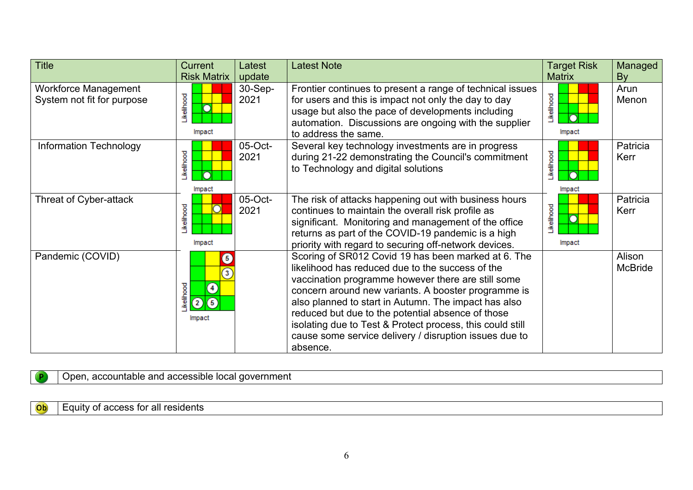| <b>Title</b>                                              | <b>Current</b>                                                                | Latest          | <b>Latest Note</b>                                                                                                                                                                                                                                                                                                                                                                                                                                                   | <b>Target Risk</b>                   | Managed                  |
|-----------------------------------------------------------|-------------------------------------------------------------------------------|-----------------|----------------------------------------------------------------------------------------------------------------------------------------------------------------------------------------------------------------------------------------------------------------------------------------------------------------------------------------------------------------------------------------------------------------------------------------------------------------------|--------------------------------------|--------------------------|
|                                                           | <b>Risk Matrix</b>                                                            | update          |                                                                                                                                                                                                                                                                                                                                                                                                                                                                      | <b>Matrix</b>                        | By                       |
| <b>Workforce Management</b><br>System not fit for purpose | Likelihood<br>Impact                                                          | 30-Sep-<br>2021 | Frontier continues to present a range of technical issues<br>for users and this is impact not only the day to day<br>usage but also the pace of developments including<br>automation. Discussions are ongoing with the supplier<br>to address the same.                                                                                                                                                                                                              | <b>kelihood</b><br>∩<br>Impact       | Arun<br>Menon            |
| <b>Information Technology</b>                             | Likelihood<br>Impact                                                          | 05-Oct-<br>2021 | Several key technology investments are in progress<br>during 21-22 demonstrating the Council's commitment<br>to Technology and digital solutions                                                                                                                                                                                                                                                                                                                     | Likelihood<br>Impact                 | Patricia<br>Kerr         |
| Threat of Cyber-attack                                    | Likelihood<br>Impact                                                          | 05-Oct-<br>2021 | The risk of attacks happening out with business hours<br>continues to maintain the overall risk profile as<br>significant. Monitoring and management of the office<br>returns as part of the COVID-19 pandemic is a high<br>priority with regard to securing off-network devices.                                                                                                                                                                                    | <b>kellhood</b><br>$\circ$<br>Impact | Patricia<br>Kerr         |
| Pandemic (COVID)                                          | $\overline{5}$<br>σ<br>ikelihood<br>$\left( 4\right)$<br>$\sqrt{5}$<br>Impact |                 | Scoring of SR012 Covid 19 has been marked at 6. The<br>likelihood has reduced due to the success of the<br>vaccination programme however there are still some<br>concern around new variants. A booster programme is<br>also planned to start in Autumn. The impact has also<br>reduced but due to the potential absence of those<br>isolating due to Test & Protect process, this could still<br>cause some service delivery / disruption issues due to<br>absence. |                                      | Alison<br><b>McBride</b> |

# Open, accountable and accessible local government

## Equity of access for all residents

 $\sqrt{P}$ 

Ob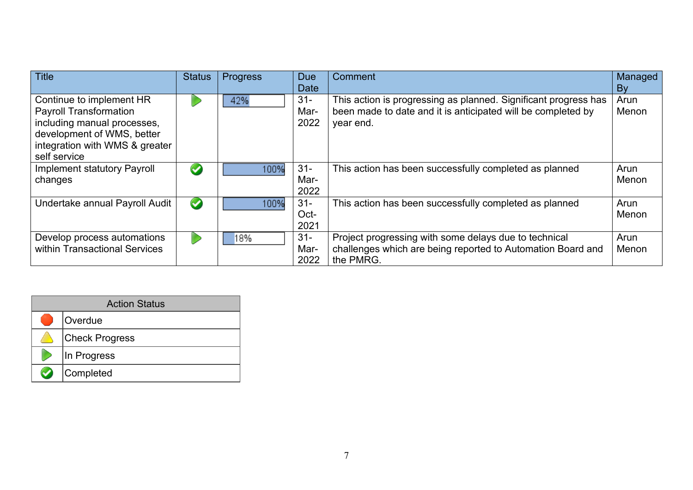| <b>Title</b>                                                                                                                                                             | <b>Status</b>        | Progress | <b>Due</b><br><b>Date</b> | Comment                                                                                                                                      | Managed<br>By |
|--------------------------------------------------------------------------------------------------------------------------------------------------------------------------|----------------------|----------|---------------------------|----------------------------------------------------------------------------------------------------------------------------------------------|---------------|
| Continue to implement HR<br><b>Payroll Transformation</b><br>including manual processes,<br>development of WMS, better<br>integration with WMS & greater<br>self service |                      | 42%      | $31 -$<br>Mar-<br>2022    | This action is progressing as planned. Significant progress has<br>been made to date and it is anticipated will be completed by<br>year end. | Arun<br>Menon |
| <b>Implement statutory Payroll</b><br>changes                                                                                                                            | $\blacktriangledown$ | 100%     | $31 -$<br>Mar-<br>2022    | This action has been successfully completed as planned                                                                                       | Arun<br>Menon |
| Undertake annual Payroll Audit                                                                                                                                           | $\blacktriangledown$ | 100%     | $31 -$<br>Oct-<br>2021    | This action has been successfully completed as planned                                                                                       | Arun<br>Menon |
| Develop process automations<br>within Transactional Services                                                                                                             |                      | 18%      | $31 -$<br>Mar-<br>2022    | Project progressing with some delays due to technical<br>challenges which are being reported to Automation Board and<br>the PMRG.            | Arun<br>Menon |

| <b>Action Status</b>  |  |  |  |  |  |  |  |  |
|-----------------------|--|--|--|--|--|--|--|--|
| Overdue               |  |  |  |  |  |  |  |  |
| <b>Check Progress</b> |  |  |  |  |  |  |  |  |
| In Progress           |  |  |  |  |  |  |  |  |
| Completed             |  |  |  |  |  |  |  |  |